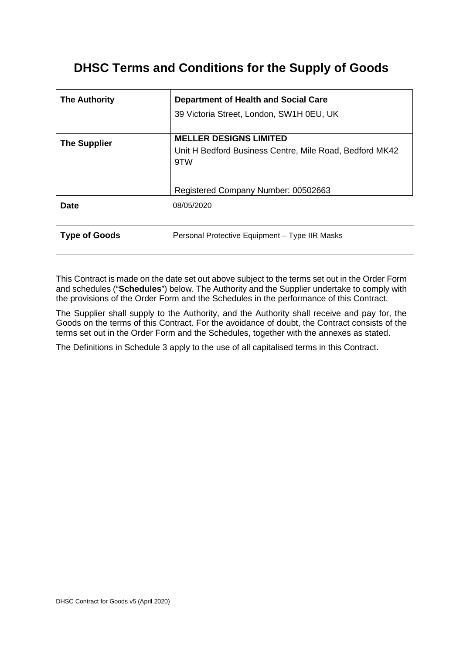# **DHSC Terms and Conditions for the Supply of Goods**

| <b>The Authority</b> | <b>Department of Health and Social Care</b><br>39 Victoria Street, London, SW1H 0EU, UK                                                |  |
|----------------------|----------------------------------------------------------------------------------------------------------------------------------------|--|
| <b>The Supplier</b>  | <b>MELLER DESIGNS LIMITED</b><br>Unit H Bedford Business Centre, Mile Road, Bedford MK42<br>9TW<br>Registered Company Number: 00502663 |  |
| <b>Date</b>          | 08/05/2020                                                                                                                             |  |
| <b>Type of Goods</b> | Personal Protective Equipment – Type IIR Masks                                                                                         |  |

This Contract is made on the date set out above subject to the terms set out in the Order Form and schedules ("**Schedules**") below. The Authority and the Supplier undertake to comply with the provisions of the Order Form and the Schedules in the performance of this Contract.

The Supplier shall supply to the Authority, and the Authority shall receive and pay for, the Goods on the terms of this Contract. For the avoidance of doubt, the Contract consists of the terms set out in the Order Form and the Schedules, together with the annexes as stated.

The Definitions in Schedule 3 apply to the use of all capitalised terms in this Contract.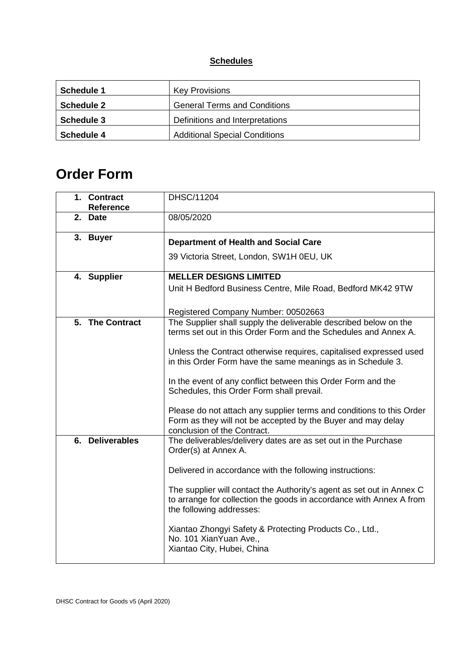### **Schedules**

| <b>Schedule 1</b> | <b>Key Provisions</b>                |
|-------------------|--------------------------------------|
| <b>Schedule 2</b> | <b>General Terms and Conditions</b>  |
| Schedule 3        | Definitions and Interpretations      |
| Schedule 4        | <b>Additional Special Conditions</b> |

# **Order Form**

| 1. Contract<br><b>Reference</b> | DHSC/11204                                                                                                                                                               |
|---------------------------------|--------------------------------------------------------------------------------------------------------------------------------------------------------------------------|
| 2. Date                         | 08/05/2020                                                                                                                                                               |
| 3. Buyer                        | <b>Department of Health and Social Care</b>                                                                                                                              |
|                                 | 39 Victoria Street, London, SW1H 0EU, UK                                                                                                                                 |
| 4. Supplier                     | <b>MELLER DESIGNS LIMITED</b>                                                                                                                                            |
|                                 | Unit H Bedford Business Centre, Mile Road, Bedford MK42 9TW                                                                                                              |
|                                 | Registered Company Number: 00502663                                                                                                                                      |
| 5. The Contract                 | The Supplier shall supply the deliverable described below on the<br>terms set out in this Order Form and the Schedules and Annex A.                                      |
|                                 | Unless the Contract otherwise requires, capitalised expressed used<br>in this Order Form have the same meanings as in Schedule 3.                                        |
|                                 | In the event of any conflict between this Order Form and the<br>Schedules, this Order Form shall prevail.                                                                |
|                                 | Please do not attach any supplier terms and conditions to this Order<br>Form as they will not be accepted by the Buyer and may delay<br>conclusion of the Contract.      |
| 6. Deliverables                 | The deliverables/delivery dates are as set out in the Purchase<br>Order(s) at Annex A.                                                                                   |
|                                 | Delivered in accordance with the following instructions:                                                                                                                 |
|                                 | The supplier will contact the Authority's agent as set out in Annex C<br>to arrange for collection the goods in accordance with Annex A from<br>the following addresses: |
|                                 | Xiantao Zhongyi Safety & Protecting Products Co., Ltd.,<br>No. 101 XianYuan Ave.,<br>Xiantao City, Hubei, China                                                          |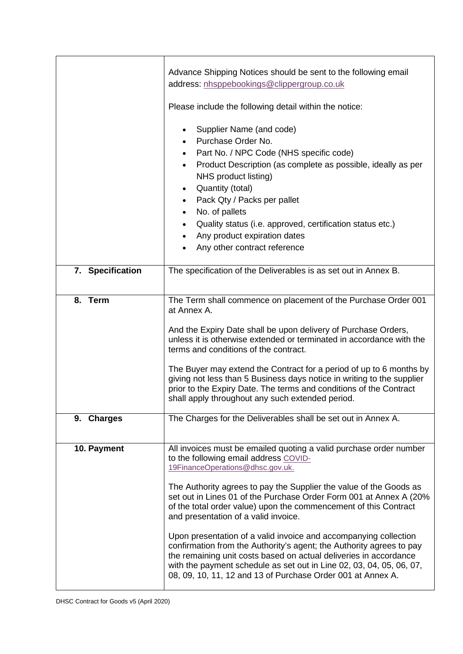|                   | Advance Shipping Notices should be sent to the following email<br>address: nhsppebookings@clippergroup.co.uk<br>Please include the following detail within the notice:<br>Supplier Name (and code)<br>$\bullet$<br>Purchase Order No.<br>$\bullet$<br>Part No. / NPC Code (NHS specific code)<br>$\bullet$<br>Product Description (as complete as possible, ideally as per<br>$\bullet$<br>NHS product listing)<br>Quantity (total)<br>$\bullet$<br>Pack Qty / Packs per pallet<br>$\bullet$<br>No. of pallets<br>$\bullet$<br>Quality status (i.e. approved, certification status etc.)<br>Any product expiration dates<br>$\bullet$<br>Any other contract reference                                                                                           |
|-------------------|-----------------------------------------------------------------------------------------------------------------------------------------------------------------------------------------------------------------------------------------------------------------------------------------------------------------------------------------------------------------------------------------------------------------------------------------------------------------------------------------------------------------------------------------------------------------------------------------------------------------------------------------------------------------------------------------------------------------------------------------------------------------|
| 7. Specification  | The specification of the Deliverables is as set out in Annex B.                                                                                                                                                                                                                                                                                                                                                                                                                                                                                                                                                                                                                                                                                                 |
| <b>Term</b><br>8. | The Term shall commence on placement of the Purchase Order 001<br>at Annex A.<br>And the Expiry Date shall be upon delivery of Purchase Orders,<br>unless it is otherwise extended or terminated in accordance with the<br>terms and conditions of the contract.<br>The Buyer may extend the Contract for a period of up to 6 months by<br>giving not less than 5 Business days notice in writing to the supplier<br>prior to the Expiry Date. The terms and conditions of the Contract<br>shall apply throughout any such extended period.                                                                                                                                                                                                                     |
| 9. Charges        | The Charges for the Deliverables shall be set out in Annex A.                                                                                                                                                                                                                                                                                                                                                                                                                                                                                                                                                                                                                                                                                                   |
| 10. Payment       | All invoices must be emailed quoting a valid purchase order number<br>to the following email address COVID-<br>19FinanceOperations@dhsc.gov.uk.<br>The Authority agrees to pay the Supplier the value of the Goods as<br>set out in Lines 01 of the Purchase Order Form 001 at Annex A (20%<br>of the total order value) upon the commencement of this Contract<br>and presentation of a valid invoice.<br>Upon presentation of a valid invoice and accompanying collection<br>confirmation from the Authority's agent; the Authority agrees to pay<br>the remaining unit costs based on actual deliveries in accordance<br>with the payment schedule as set out in Line 02, 03, 04, 05, 06, 07,<br>08, 09, 10, 11, 12 and 13 of Purchase Order 001 at Annex A. |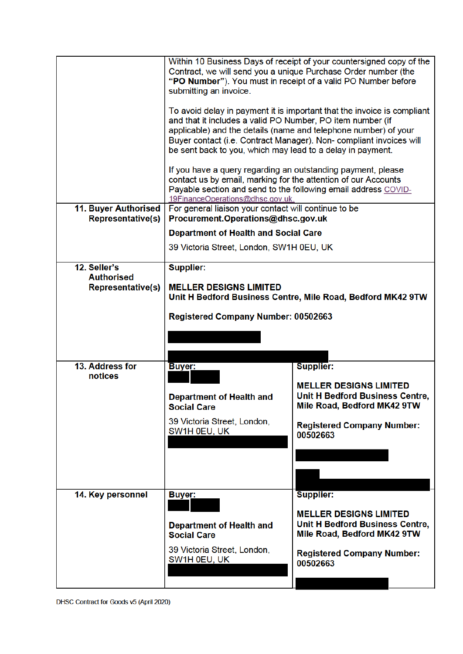|                                                  | Within 10 Business Days of receipt of your countersigned copy of the<br>Contract, we will send you a unique Purchase Order number (the<br>"PO Number"). You must in receipt of a valid PO Number before<br>submitting an invoice.<br>To avoid delay in payment it is important that the invoice is compliant<br>and that it includes a valid PO Number, PO item number (if<br>applicable) and the details (name and telephone number) of your<br>Buyer contact (i.e. Contract Manager). Non-compliant invoices will<br>be sent back to you, which may lead to a delay in payment.<br>If you have a query regarding an outstanding payment, please<br>contact us by email, marking for the attention of our Accounts<br>Payable section and send to the following email address COVID-<br>19FinanceOperations@dhsc.gov.uk. |                                                                                                 |  |  |  |
|--------------------------------------------------|---------------------------------------------------------------------------------------------------------------------------------------------------------------------------------------------------------------------------------------------------------------------------------------------------------------------------------------------------------------------------------------------------------------------------------------------------------------------------------------------------------------------------------------------------------------------------------------------------------------------------------------------------------------------------------------------------------------------------------------------------------------------------------------------------------------------------|-------------------------------------------------------------------------------------------------|--|--|--|
| 11. Buyer Authorised<br><b>Representative(s)</b> | For general liaison your contact will continue to be<br>Procurement.Operations@dhsc.gov.uk                                                                                                                                                                                                                                                                                                                                                                                                                                                                                                                                                                                                                                                                                                                                |                                                                                                 |  |  |  |
|                                                  | <b>Department of Health and Social Care</b>                                                                                                                                                                                                                                                                                                                                                                                                                                                                                                                                                                                                                                                                                                                                                                               |                                                                                                 |  |  |  |
|                                                  | 39 Victoria Street, London, SW1H 0EU, UK                                                                                                                                                                                                                                                                                                                                                                                                                                                                                                                                                                                                                                                                                                                                                                                  |                                                                                                 |  |  |  |
| 12. Seller's<br><b>Authorised</b>                | <b>Supplier:</b>                                                                                                                                                                                                                                                                                                                                                                                                                                                                                                                                                                                                                                                                                                                                                                                                          |                                                                                                 |  |  |  |
| <b>Representative(s)</b>                         | <b>MELLER DESIGNS LIMITED</b>                                                                                                                                                                                                                                                                                                                                                                                                                                                                                                                                                                                                                                                                                                                                                                                             | Unit H Bedford Business Centre, Mile Road, Bedford MK42 9TW                                     |  |  |  |
|                                                  | Registered Company Number: 00502663                                                                                                                                                                                                                                                                                                                                                                                                                                                                                                                                                                                                                                                                                                                                                                                       |                                                                                                 |  |  |  |
|                                                  |                                                                                                                                                                                                                                                                                                                                                                                                                                                                                                                                                                                                                                                                                                                                                                                                                           |                                                                                                 |  |  |  |
|                                                  |                                                                                                                                                                                                                                                                                                                                                                                                                                                                                                                                                                                                                                                                                                                                                                                                                           |                                                                                                 |  |  |  |
| 13. Address for<br>notices                       | <b>Buyer:</b>                                                                                                                                                                                                                                                                                                                                                                                                                                                                                                                                                                                                                                                                                                                                                                                                             | <b>Supplier:</b>                                                                                |  |  |  |
|                                                  | <b>Department of Health and</b><br><b>Social Care</b>                                                                                                                                                                                                                                                                                                                                                                                                                                                                                                                                                                                                                                                                                                                                                                     | <b>MELLER DESIGNS LIMITED</b><br>Unit H Bedford Business Centre,<br>Mile Road, Bedford MK42 9TW |  |  |  |
|                                                  | 39 Victoria Street, London,<br>SW1H OEU, UK                                                                                                                                                                                                                                                                                                                                                                                                                                                                                                                                                                                                                                                                                                                                                                               | <b>Registered Company Number:</b><br>00502663                                                   |  |  |  |
|                                                  |                                                                                                                                                                                                                                                                                                                                                                                                                                                                                                                                                                                                                                                                                                                                                                                                                           |                                                                                                 |  |  |  |
|                                                  |                                                                                                                                                                                                                                                                                                                                                                                                                                                                                                                                                                                                                                                                                                                                                                                                                           |                                                                                                 |  |  |  |
| 14. Key personnel                                | Buyer:                                                                                                                                                                                                                                                                                                                                                                                                                                                                                                                                                                                                                                                                                                                                                                                                                    | Supplier:                                                                                       |  |  |  |
|                                                  | <b>Department of Health and</b><br><b>Social Care</b>                                                                                                                                                                                                                                                                                                                                                                                                                                                                                                                                                                                                                                                                                                                                                                     | <b>MELLER DESIGNS LIMITED</b><br>Unit H Bedford Business Centre,<br>Mile Road, Bedford MK42 9TW |  |  |  |
|                                                  | 39 Victoria Street, London,<br>SW1H 0EU, UK                                                                                                                                                                                                                                                                                                                                                                                                                                                                                                                                                                                                                                                                                                                                                                               | <b>Registered Company Number:</b><br>00502663                                                   |  |  |  |
|                                                  |                                                                                                                                                                                                                                                                                                                                                                                                                                                                                                                                                                                                                                                                                                                                                                                                                           |                                                                                                 |  |  |  |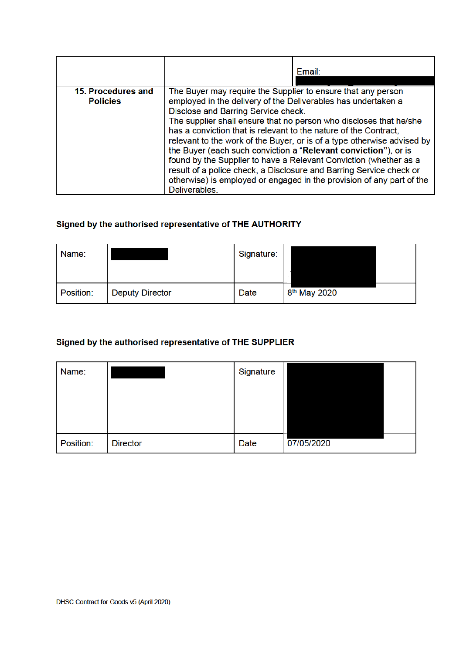|                                       |                                                                                                                                                                                                                                                                                                                              | Email:                                                                                                                                                                                                                                                                                                                                                             |
|---------------------------------------|------------------------------------------------------------------------------------------------------------------------------------------------------------------------------------------------------------------------------------------------------------------------------------------------------------------------------|--------------------------------------------------------------------------------------------------------------------------------------------------------------------------------------------------------------------------------------------------------------------------------------------------------------------------------------------------------------------|
| 15. Procedures and<br><b>Policies</b> | The Buyer may require the Supplier to ensure that any person<br>employed in the delivery of the Deliverables has undertaken a<br>Disclose and Barring Service check.<br>has a conviction that is relevant to the nature of the Contract.<br>the Buyer (each such conviction a "Relevant conviction"), or is<br>Deliverables. | The supplier shall ensure that no person who discloses that he/she<br>relevant to the work of the Buyer, or is of a type otherwise advised by<br>found by the Supplier to have a Relevant Conviction (whether as a<br>result of a police check, a Disclosure and Barring Service check or<br>otherwise) is employed or engaged in the provision of any part of the |

## Signed by the authorised representative of THE AUTHORITY

| Name:     |                        | Signature: |                          |
|-----------|------------------------|------------|--------------------------|
| Position: | <b>Deputy Director</b> | Date       | 8 <sup>th</sup> May 2020 |

# Signed by the authorised representative of THE SUPPLIER

| Name:     |                 | Signature |            |
|-----------|-----------------|-----------|------------|
| Position: | <b>Director</b> | Date      | 07/05/2020 |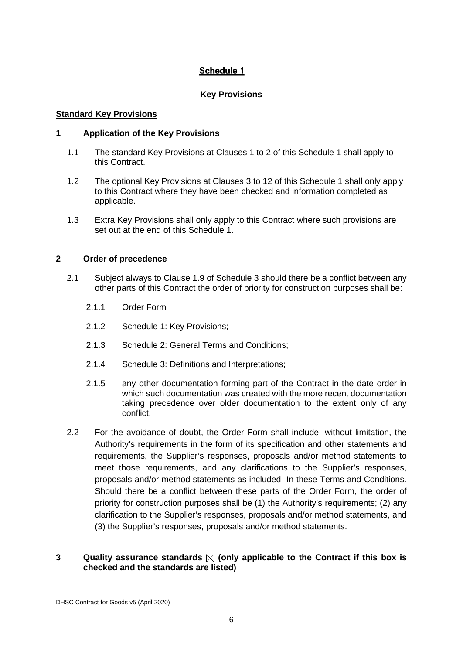## **Schedule 1**

#### **Key Provisions**

#### **Standard Key Provisions**

#### **1 Application of the Key Provisions**

- 1.1 The standard Key Provisions at Clauses 1 to 2 of this Schedule 1 shall apply to this Contract.
- 1.2 The optional Key Provisions at Clauses 3 to 12 of this Schedule 1 shall only apply to this Contract where they have been checked and information completed as applicable.
- 1.3 Extra Key Provisions shall only apply to this Contract where such provisions are set out at the end of this Schedule 1.

#### **2 Order of precedence**

- 2.1 Subject always to Clause 1.9 of Schedule 3 should there be a conflict between any other parts of this Contract the order of priority for construction purposes shall be:
	- 2.1.1 Order Form
	- 2.1.2 Schedule 1: Key Provisions;
	- 2.1.3 Schedule 2: General Terms and Conditions;
	- 2.1.4 Schedule 3: Definitions and Interpretations;
	- 2.1.5 any other documentation forming part of the Contract in the date order in which such documentation was created with the more recent documentation taking precedence over older documentation to the extent only of any conflict.
- 2.2 For the avoidance of doubt, the Order Form shall include, without limitation, the Authority's requirements in the form of its specification and other statements and requirements, the Supplier's responses, proposals and/or method statements to meet those requirements, and any clarifications to the Supplier's responses, proposals and/or method statements as included In these Terms and Conditions. Should there be a conflict between these parts of the Order Form, the order of priority for construction purposes shall be (1) the Authority's requirements; (2) any clarification to the Supplier's responses, proposals and/or method statements, and (3) the Supplier's responses, proposals and/or method statements.

#### **3 Quality assurance standards**  $\boxtimes$  (only applicable to the Contract if this box is **checked and the standards are listed)**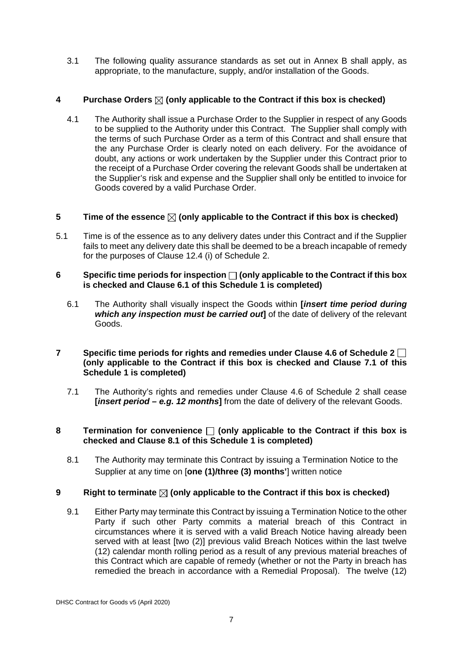3.1 The following quality assurance standards as set out in Annex B shall apply, as appropriate, to the manufacture, supply, and/or installation of the Goods.

#### **4 Purchase Orders**  $\boxtimes$  (only applicable to the Contract if this box is checked)

4.1 The Authority shall issue a Purchase Order to the Supplier in respect of any Goods to be supplied to the Authority under this Contract. The Supplier shall comply with the terms of such Purchase Order as a term of this Contract and shall ensure that the any Purchase Order is clearly noted on each delivery. For the avoidance of doubt, any actions or work undertaken by the Supplier under this Contract prior to the receipt of a Purchase Order covering the relevant Goods shall be undertaken at the Supplier's risk and expense and the Supplier shall only be entitled to invoice for Goods covered by a valid Purchase Order.

#### **5 Time of the essence**  $\boxtimes$  (only applicable to the Contract if this box is checked)

5.1 Time is of the essence as to any delivery dates under this Contract and if the Supplier fails to meet any delivery date this shall be deemed to be a breach incapable of remedy for the purposes of Clause 12.4 (i) of Schedule 2.

#### **6** Specific time periods for inspection  $\Box$  (only applicable to the Contract if this box **is checked and Clause 6.1 of this Schedule 1 is completed)**

6.1 The Authority shall visually inspect the Goods within **[***insert time period during which any inspection must be carried out***]** of the date of delivery of the relevant Goods.

#### **7 Specific time periods for rights and remedies under Clause 4.6 of Schedule 2 (only applicable to the Contract if this box is checked and Clause 7.1 of this Schedule 1 is completed)**

7.1 The Authority's rights and remedies under Clause 4.6 of Schedule 2 shall cease **[***insert period – e.g. 12 months***]** from the date of delivery of the relevant Goods.

#### **8 Termination for convenience**  $\Box$  (only applicable to the Contract if this box is **checked and Clause 8.1 of this Schedule 1 is completed)**

8.1 The Authority may terminate this Contract by issuing a Termination Notice to the Supplier at any time on [**one (1)/three (3) months'**] written notice

#### **9 Right to terminate**  $\boxtimes$  (only applicable to the Contract if this box is checked)

9.1 Either Party may terminate this Contract by issuing a Termination Notice to the other Party if such other Party commits a material breach of this Contract in circumstances where it is served with a valid Breach Notice having already been served with at least [two (2)] previous valid Breach Notices within the last twelve (12) calendar month rolling period as a result of any previous material breaches of this Contract which are capable of remedy (whether or not the Party in breach has remedied the breach in accordance with a Remedial Proposal). The twelve (12)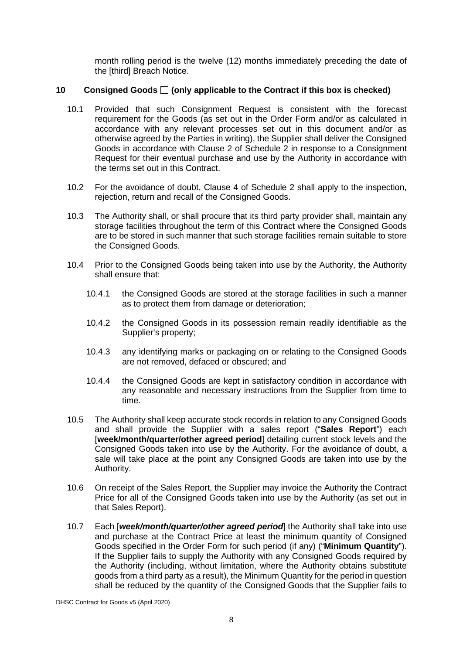month rolling period is the twelve (12) months immediately preceding the date of the [third] Breach Notice.

#### **10 Consigned Goods**  $\Box$  (only applicable to the Contract if this box is checked)

- 10.1 Provided that such Consignment Request is consistent with the forecast requirement for the Goods (as set out in the Order Form and/or as calculated in accordance with any relevant processes set out in this document and/or as otherwise agreed by the Parties in writing), the Supplier shall deliver the Consigned Goods in accordance with Clause 2 of Schedule 2 in response to a Consignment Request for their eventual purchase and use by the Authority in accordance with the terms set out in this Contract.
- 10.2 For the avoidance of doubt, Clause 4 of Schedule 2 shall apply to the inspection, rejection, return and recall of the Consigned Goods.
- 10.3 The Authority shall, or shall procure that its third party provider shall, maintain any storage facilities throughout the term of this Contract where the Consigned Goods are to be stored in such manner that such storage facilities remain suitable to store the Consigned Goods.
- 10.4 Prior to the Consigned Goods being taken into use by the Authority, the Authority shall ensure that:
	- 10.4.1 the Consigned Goods are stored at the storage facilities in such a manner as to protect them from damage or deterioration;
	- 10.4.2 the Consigned Goods in its possession remain readily identifiable as the Supplier's property;
	- 10.4.3 any identifying marks or packaging on or relating to the Consigned Goods are not removed, defaced or obscured; and
	- 10.4.4 the Consigned Goods are kept in satisfactory condition in accordance with any reasonable and necessary instructions from the Supplier from time to time.
- 10.5 The Authority shall keep accurate stock records in relation to any Consigned Goods and shall provide the Supplier with a sales report ("**Sales Report**") each [**week/month/quarter/other agreed period**] detailing current stock levels and the Consigned Goods taken into use by the Authority. For the avoidance of doubt, a sale will take place at the point any Consigned Goods are taken into use by the Authority.
- 10.6 On receipt of the Sales Report, the Supplier may invoice the Authority the Contract Price for all of the Consigned Goods taken into use by the Authority (as set out in that Sales Report).
- 10.7 Each [*week/month/quarter/other agreed period*] the Authority shall take into use and purchase at the Contract Price at least the minimum quantity of Consigned Goods specified in the Order Form for such period (if any) ("**Minimum Quantity**"). If the Supplier fails to supply the Authority with any Consigned Goods required by the Authority (including, without limitation, where the Authority obtains substitute goods from a third party as a result), the Minimum Quantity for the period in question shall be reduced by the quantity of the Consigned Goods that the Supplier fails to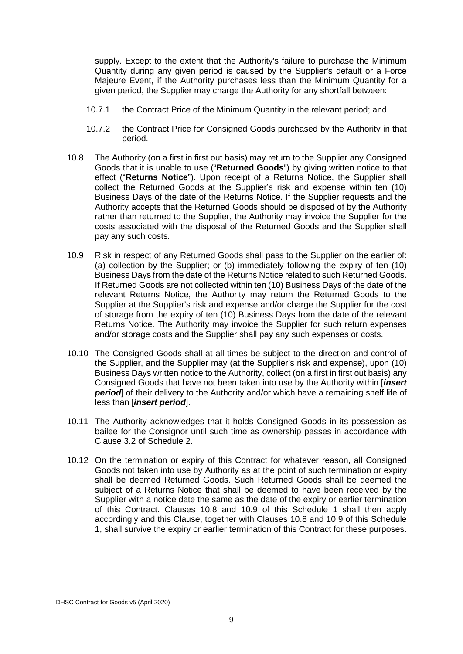supply. Except to the extent that the Authority's failure to purchase the Minimum Quantity during any given period is caused by the Supplier's default or a Force Majeure Event, if the Authority purchases less than the Minimum Quantity for a given period, the Supplier may charge the Authority for any shortfall between:

- 10.7.1 the Contract Price of the Minimum Quantity in the relevant period; and
- 10.7.2 the Contract Price for Consigned Goods purchased by the Authority in that period.
- 10.8 The Authority (on a first in first out basis) may return to the Supplier any Consigned Goods that it is unable to use ("**Returned Goods**") by giving written notice to that effect ("**Returns Notice**"). Upon receipt of a Returns Notice, the Supplier shall collect the Returned Goods at the Supplier's risk and expense within ten (10) Business Days of the date of the Returns Notice. If the Supplier requests and the Authority accepts that the Returned Goods should be disposed of by the Authority rather than returned to the Supplier, the Authority may invoice the Supplier for the costs associated with the disposal of the Returned Goods and the Supplier shall pay any such costs.
- 10.9 Risk in respect of any Returned Goods shall pass to the Supplier on the earlier of: (a) collection by the Supplier; or (b) immediately following the expiry of ten (10) Business Days from the date of the Returns Notice related to such Returned Goods. If Returned Goods are not collected within ten (10) Business Days of the date of the relevant Returns Notice, the Authority may return the Returned Goods to the Supplier at the Supplier's risk and expense and/or charge the Supplier for the cost of storage from the expiry of ten (10) Business Days from the date of the relevant Returns Notice. The Authority may invoice the Supplier for such return expenses and/or storage costs and the Supplier shall pay any such expenses or costs.
- 10.10 The Consigned Goods shall at all times be subject to the direction and control of the Supplier, and the Supplier may (at the Supplier's risk and expense), upon (10) Business Days written notice to the Authority, collect (on a first in first out basis) any Consigned Goods that have not been taken into use by the Authority within [*insert*  **period** of their delivery to the Authority and/or which have a remaining shelf life of less than [*insert period*].
- 10.11 The Authority acknowledges that it holds Consigned Goods in its possession as bailee for the Consignor until such time as ownership passes in accordance with Clause 3.2 of Schedule 2.
- 10.12 On the termination or expiry of this Contract for whatever reason, all Consigned Goods not taken into use by Authority as at the point of such termination or expiry shall be deemed Returned Goods. Such Returned Goods shall be deemed the subject of a Returns Notice that shall be deemed to have been received by the Supplier with a notice date the same as the date of the expiry or earlier termination of this Contract. Clauses 10.8 and 10.9 of this Schedule 1 shall then apply accordingly and this Clause, together with Clauses 10.8 and 10.9 of this Schedule 1, shall survive the expiry or earlier termination of this Contract for these purposes.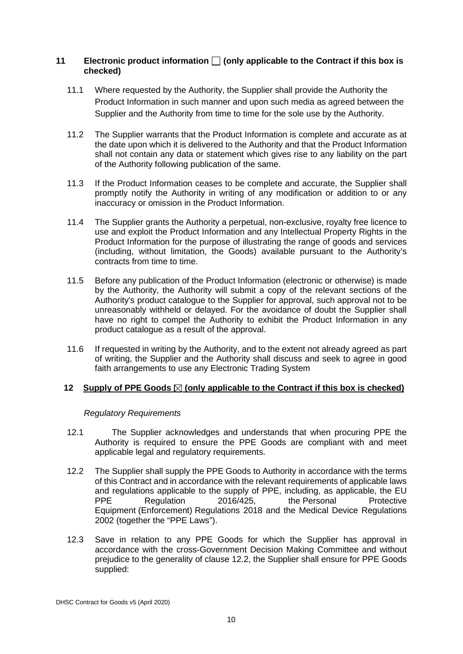#### **11 Electronic product information (only applicable to the Contract if this box is checked)**

- 11.1 Where requested by the Authority, the Supplier shall provide the Authority the Product Information in such manner and upon such media as agreed between the Supplier and the Authority from time to time for the sole use by the Authority.
- 11.2 The Supplier warrants that the Product Information is complete and accurate as at the date upon which it is delivered to the Authority and that the Product Information shall not contain any data or statement which gives rise to any liability on the part of the Authority following publication of the same.
- 11.3 If the Product Information ceases to be complete and accurate, the Supplier shall promptly notify the Authority in writing of any modification or addition to or any inaccuracy or omission in the Product Information.
- 11.4 The Supplier grants the Authority a perpetual, non-exclusive, royalty free licence to use and exploit the Product Information and any Intellectual Property Rights in the Product Information for the purpose of illustrating the range of goods and services (including, without limitation, the Goods) available pursuant to the Authority's contracts from time to time.
- 11.5 Before any publication of the Product Information (electronic or otherwise) is made by the Authority, the Authority will submit a copy of the relevant sections of the Authority's product catalogue to the Supplier for approval, such approval not to be unreasonably withheld or delayed. For the avoidance of doubt the Supplier shall have no right to compel the Authority to exhibit the Product Information in any product catalogue as a result of the approval.
- 11.6 If requested in writing by the Authority, and to the extent not already agreed as part of writing, the Supplier and the Authority shall discuss and seek to agree in good faith arrangements to use any Electronic Trading System

#### **12** Supply of PPE Goods  $\boxtimes$  (only applicable to the Contract if this box is checked)

#### *Regulatory Requirements*

- 12.1 The Supplier acknowledges and understands that when procuring PPE the Authority is required to ensure the PPE Goods are compliant with and meet applicable legal and regulatory requirements.
- 12.2 The Supplier shall supply the PPE Goods to Authority in accordance with the terms of this Contract and in accordance with the relevant requirements of applicable laws and regulations applicable to the supply of PPE, including, as applicable, the EU<br>PPE Regulation 2016/425. the Personal Protective PPE Regulation 2016/425, the Personal Protective Equipment (Enforcement) Regulations 2018 and the Medical Device Regulations 2002 (together the "PPE Laws").
- 12.3 Save in relation to any PPE Goods for which the Supplier has approval in accordance with the cross-Government Decision Making Committee and without prejudice to the generality of clause 12.2, the Supplier shall ensure for PPE Goods supplied: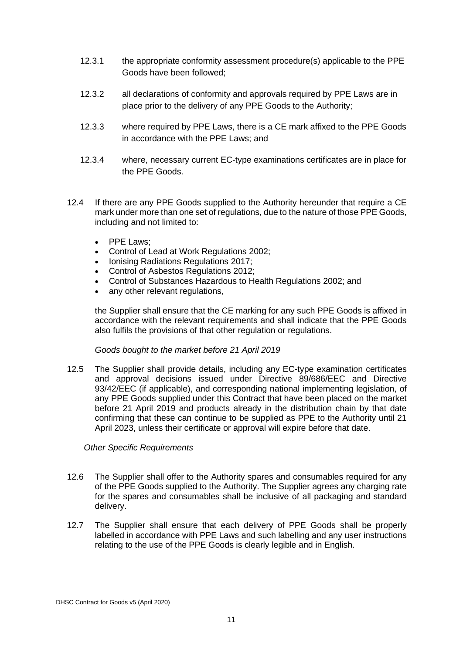- 12.3.1 the appropriate conformity assessment procedure(s) applicable to the PPE Goods have been followed;
- 12.3.2 all declarations of conformity and approvals required by PPE Laws are in place prior to the delivery of any PPE Goods to the Authority;
- 12.3.3 where required by PPE Laws, there is a CE mark affixed to the PPE Goods in accordance with the PPE Laws; and
- 12.3.4 where, necessary current EC-type examinations certificates are in place for the PPE Goods.
- 12.4 If there are any PPE Goods supplied to the Authority hereunder that require a CE mark under more than one set of regulations, due to the nature of those PPE Goods, including and not limited to:
	- PPE Laws;
	- Control of Lead at Work Regulations 2002;
	- Ionising Radiations Regulations 2017:
	- Control of Asbestos Regulations 2012;
	- Control of Substances Hazardous to Health Regulations 2002; and
	- any other relevant regulations,

the Supplier shall ensure that the CE marking for any such PPE Goods is affixed in accordance with the relevant requirements and shall indicate that the PPE Goods also fulfils the provisions of that other regulation or regulations.

#### *Goods bought to the market before 21 April 2019*

12.5 The Supplier shall provide details, including any EC-type examination certificates and approval decisions issued under Directive 89/686/EEC and Directive 93/42/EEC (if applicable), and corresponding national implementing legislation, of any PPE Goods supplied under this Contract that have been placed on the market before 21 April 2019 and products already in the distribution chain by that date confirming that these can continue to be supplied as PPE to the Authority until 21 April 2023, unless their certificate or approval will expire before that date.

#### *Other Specific Requirements*

- 12.6 The Supplier shall offer to the Authority spares and consumables required for any of the PPE Goods supplied to the Authority. The Supplier agrees any charging rate for the spares and consumables shall be inclusive of all packaging and standard delivery.
- 12.7 The Supplier shall ensure that each delivery of PPE Goods shall be properly labelled in accordance with PPE Laws and such labelling and any user instructions relating to the use of the PPE Goods is clearly legible and in English.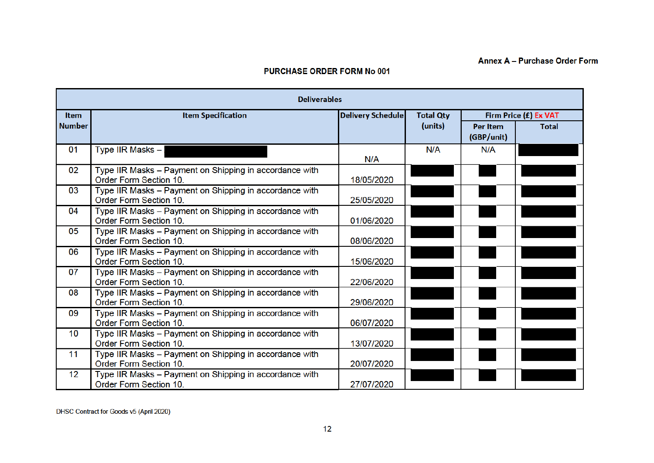#### Annex A - Purchase Order Form

|               | <b>Deliverables</b>                                                               |                          |                  |                        |                       |
|---------------|-----------------------------------------------------------------------------------|--------------------------|------------------|------------------------|-----------------------|
| <b>Item</b>   | <b>Item Specification</b>                                                         | <b>Delivery Schedule</b> | <b>Total Qty</b> |                        | Firm Price (£) Ex VAT |
| <b>Number</b> |                                                                                   |                          | (units)          | Per Item<br>(GBP/unit) | <b>Total</b>          |
| 01            | Type IIR Masks - I                                                                | N/A                      | N/A              | N/A                    |                       |
| 02            | Type IIR Masks - Payment on Shipping in accordance with<br>Order Form Section 10. | 18/05/2020               |                  |                        |                       |
| 03            | Type IIR Masks - Payment on Shipping in accordance with<br>Order Form Section 10. | 25/05/2020               |                  |                        |                       |
| 04            | Type IIR Masks - Payment on Shipping in accordance with<br>Order Form Section 10. | 01/06/2020               |                  |                        |                       |
| 05            | Type IIR Masks - Payment on Shipping in accordance with<br>Order Form Section 10. | 08/06/2020               |                  |                        |                       |
| 06            | Type IIR Masks - Payment on Shipping in accordance with<br>Order Form Section 10. | 15/06/2020               |                  |                        |                       |
| 07            | Type IIR Masks - Payment on Shipping in accordance with<br>Order Form Section 10. | 22/06/2020               |                  |                        |                       |
| 08            | Type IIR Masks - Payment on Shipping in accordance with<br>Order Form Section 10. | 29/06/2020               |                  |                        |                       |
| 09            | Type IIR Masks - Payment on Shipping in accordance with<br>Order Form Section 10. | 06/07/2020               |                  |                        |                       |
| 10            | Type IIR Masks - Payment on Shipping in accordance with<br>Order Form Section 10. | 13/07/2020               |                  |                        |                       |
| 11            | Type IIR Masks - Payment on Shipping in accordance with<br>Order Form Section 10. | 20/07/2020               |                  |                        |                       |
| 12            | Type IIR Masks - Payment on Shipping in accordance with<br>Order Form Section 10. | 27/07/2020               |                  |                        |                       |

#### PURCHASE ORDER FORM No 001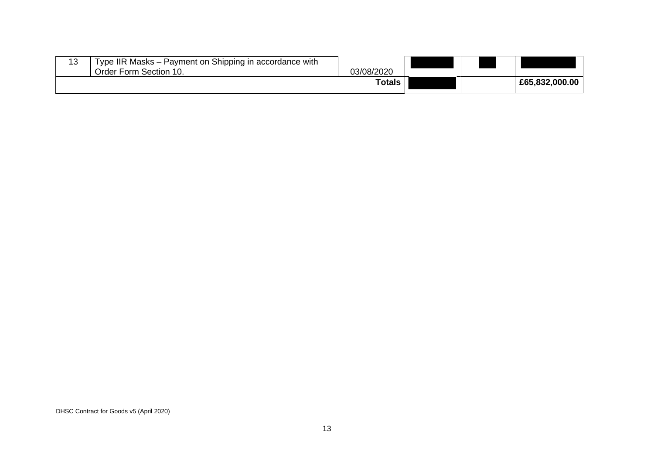| 13 | Type IIR Masks - Payment on Shipping in accordance with<br>Order Form Section 10. | 03/08/2020   |  |                |
|----|-----------------------------------------------------------------------------------|--------------|--|----------------|
|    |                                                                                   | $\tau$ otals |  | £65,832,000.00 |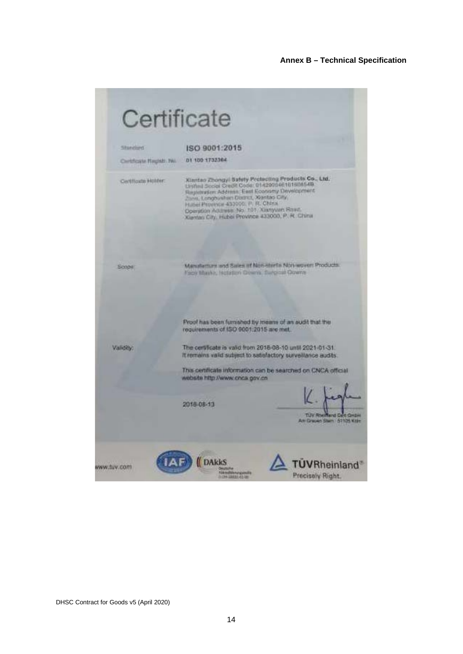#### **Annex B – Technical Specification**

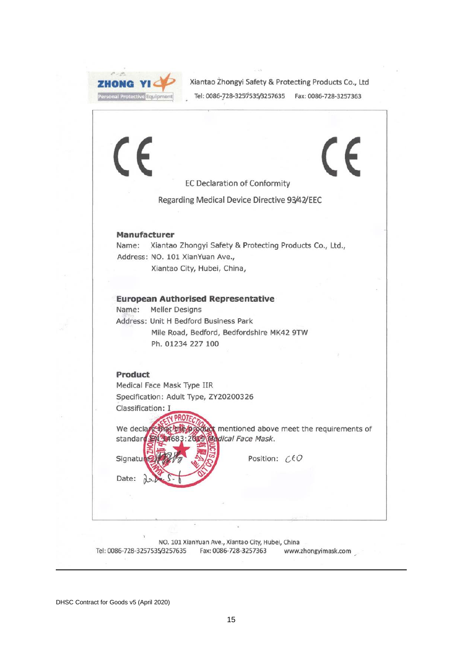

Xiantao Żhongyi Safety & Protecting Products Co., Ltd Tel: 0086-728-3257535/3257635 Fax: 0086-728-3257363

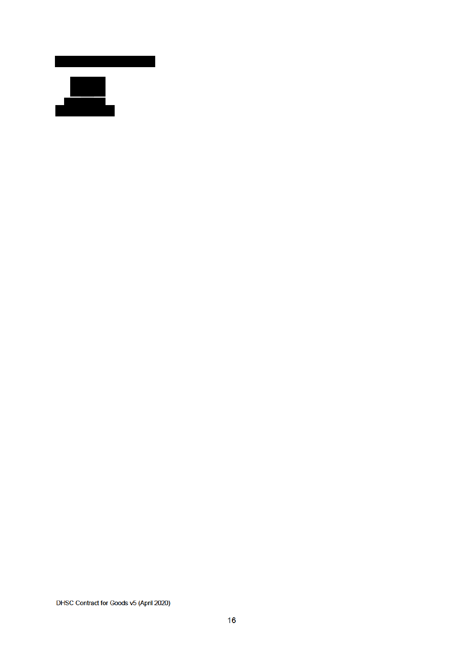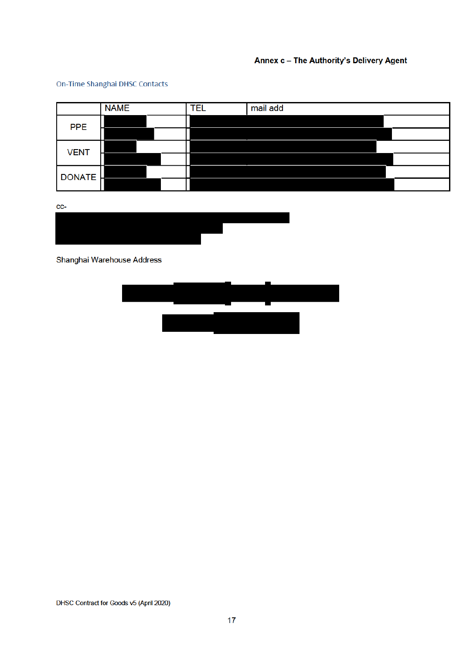# Annex c - The Authority's Delivery Agent

#### On-Time Shanghai DHSC Contacts

|             | <b>NAME</b> | <b>TEL</b> | mail add |  |
|-------------|-------------|------------|----------|--|
| <b>PPE</b>  |             |            |          |  |
|             |             |            |          |  |
| <b>VENT</b> |             |            |          |  |
|             |             |            |          |  |
| DONATE H    |             |            |          |  |
|             |             |            |          |  |

 $cc-$ 

Shanghai Warehouse Address